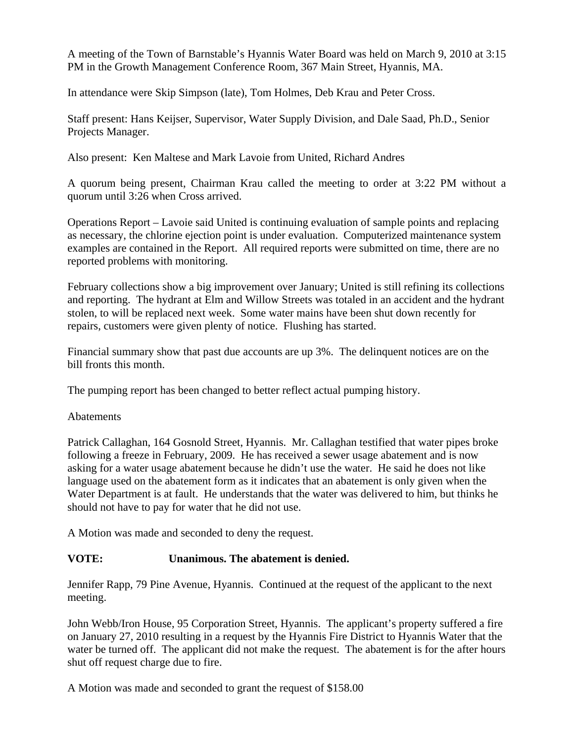A meeting of the Town of Barnstable's Hyannis Water Board was held on March 9, 2010 at 3:15 PM in the Growth Management Conference Room, 367 Main Street, Hyannis, MA.

In attendance were Skip Simpson (late), Tom Holmes, Deb Krau and Peter Cross.

Staff present: Hans Keijser, Supervisor, Water Supply Division, and Dale Saad, Ph.D., Senior Projects Manager.

Also present: Ken Maltese and Mark Lavoie from United, Richard Andres

A quorum being present, Chairman Krau called the meeting to order at 3:22 PM without a quorum until 3:26 when Cross arrived.

Operations Report – Lavoie said United is continuing evaluation of sample points and replacing as necessary, the chlorine ejection point is under evaluation. Computerized maintenance system examples are contained in the Report. All required reports were submitted on time, there are no reported problems with monitoring.

February collections show a big improvement over January; United is still refining its collections and reporting. The hydrant at Elm and Willow Streets was totaled in an accident and the hydrant stolen, to will be replaced next week. Some water mains have been shut down recently for repairs, customers were given plenty of notice. Flushing has started.

Financial summary show that past due accounts are up 3%. The delinquent notices are on the bill fronts this month.

The pumping report has been changed to better reflect actual pumping history.

Abatements

Patrick Callaghan, 164 Gosnold Street, Hyannis. Mr. Callaghan testified that water pipes broke following a freeze in February, 2009. He has received a sewer usage abatement and is now asking for a water usage abatement because he didn't use the water. He said he does not like language used on the abatement form as it indicates that an abatement is only given when the Water Department is at fault. He understands that the water was delivered to him, but thinks he should not have to pay for water that he did not use.

A Motion was made and seconded to deny the request.

## **VOTE: Unanimous. The abatement is denied.**

Jennifer Rapp, 79 Pine Avenue, Hyannis. Continued at the request of the applicant to the next meeting.

John Webb/Iron House, 95 Corporation Street, Hyannis. The applicant's property suffered a fire on January 27, 2010 resulting in a request by the Hyannis Fire District to Hyannis Water that the water be turned off. The applicant did not make the request. The abatement is for the after hours shut off request charge due to fire.

A Motion was made and seconded to grant the request of \$158.00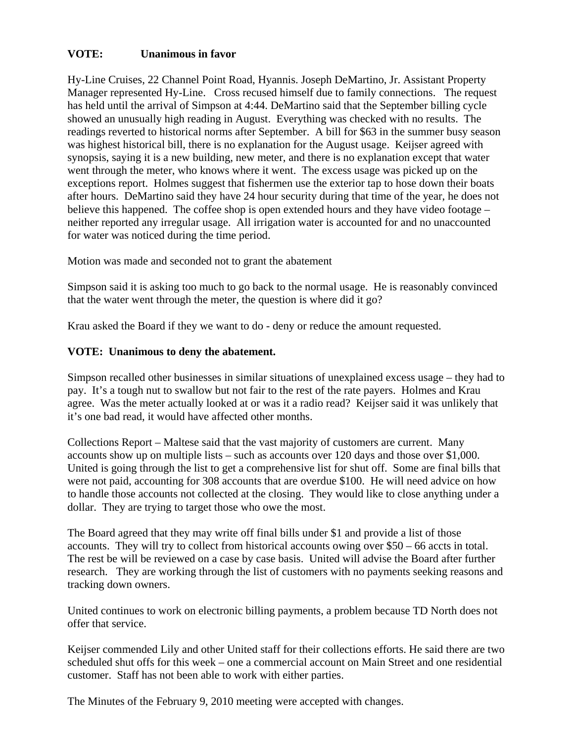## **VOTE: Unanimous in favor**

Hy-Line Cruises, 22 Channel Point Road, Hyannis. Joseph DeMartino, Jr. Assistant Property Manager represented Hy-Line. Cross recused himself due to family connections. The request has held until the arrival of Simpson at 4:44. DeMartino said that the September billing cycle showed an unusually high reading in August. Everything was checked with no results. The readings reverted to historical norms after September. A bill for \$63 in the summer busy season was highest historical bill, there is no explanation for the August usage. Keijser agreed with synopsis, saying it is a new building, new meter, and there is no explanation except that water went through the meter, who knows where it went. The excess usage was picked up on the exceptions report. Holmes suggest that fishermen use the exterior tap to hose down their boats after hours. DeMartino said they have 24 hour security during that time of the year, he does not believe this happened. The coffee shop is open extended hours and they have video footage – neither reported any irregular usage. All irrigation water is accounted for and no unaccounted for water was noticed during the time period.

Motion was made and seconded not to grant the abatement

Simpson said it is asking too much to go back to the normal usage. He is reasonably convinced that the water went through the meter, the question is where did it go?

Krau asked the Board if they we want to do - deny or reduce the amount requested.

## **VOTE: Unanimous to deny the abatement.**

Simpson recalled other businesses in similar situations of unexplained excess usage – they had to pay. It's a tough nut to swallow but not fair to the rest of the rate payers. Holmes and Krau agree. Was the meter actually looked at or was it a radio read? Keijser said it was unlikely that it's one bad read, it would have affected other months.

Collections Report – Maltese said that the vast majority of customers are current. Many accounts show up on multiple lists – such as accounts over 120 days and those over \$1,000. United is going through the list to get a comprehensive list for shut off. Some are final bills that were not paid, accounting for 308 accounts that are overdue \$100. He will need advice on how to handle those accounts not collected at the closing. They would like to close anything under a dollar. They are trying to target those who owe the most.

The Board agreed that they may write off final bills under \$1 and provide a list of those accounts. They will try to collect from historical accounts owing over \$50 – 66 accts in total. The rest be will be reviewed on a case by case basis. United will advise the Board after further research. They are working through the list of customers with no payments seeking reasons and tracking down owners.

United continues to work on electronic billing payments, a problem because TD North does not offer that service.

Keijser commended Lily and other United staff for their collections efforts. He said there are two scheduled shut offs for this week – one a commercial account on Main Street and one residential customer. Staff has not been able to work with either parties.

The Minutes of the February 9, 2010 meeting were accepted with changes.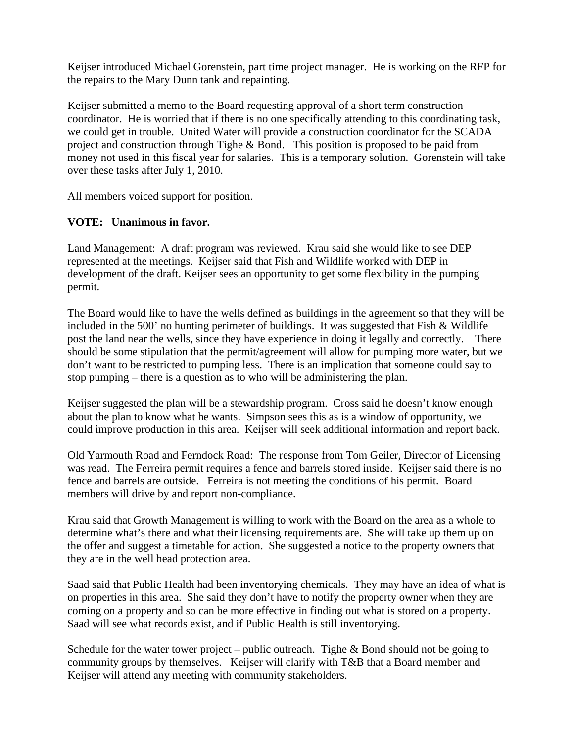Keijser introduced Michael Gorenstein, part time project manager. He is working on the RFP for the repairs to the Mary Dunn tank and repainting.

Keijser submitted a memo to the Board requesting approval of a short term construction coordinator. He is worried that if there is no one specifically attending to this coordinating task, we could get in trouble. United Water will provide a construction coordinator for the SCADA project and construction through Tighe & Bond. This position is proposed to be paid from money not used in this fiscal year for salaries. This is a temporary solution. Gorenstein will take over these tasks after July 1, 2010.

All members voiced support for position.

## **VOTE: Unanimous in favor.**

Land Management: A draft program was reviewed. Krau said she would like to see DEP represented at the meetings. Keijser said that Fish and Wildlife worked with DEP in development of the draft. Keijser sees an opportunity to get some flexibility in the pumping permit.

The Board would like to have the wells defined as buildings in the agreement so that they will be included in the 500' no hunting perimeter of buildings. It was suggested that Fish & Wildlife post the land near the wells, since they have experience in doing it legally and correctly. There should be some stipulation that the permit/agreement will allow for pumping more water, but we don't want to be restricted to pumping less. There is an implication that someone could say to stop pumping – there is a question as to who will be administering the plan.

Keijser suggested the plan will be a stewardship program. Cross said he doesn't know enough about the plan to know what he wants. Simpson sees this as is a window of opportunity, we could improve production in this area. Keijser will seek additional information and report back.

Old Yarmouth Road and Ferndock Road: The response from Tom Geiler, Director of Licensing was read. The Ferreira permit requires a fence and barrels stored inside. Keijser said there is no fence and barrels are outside. Ferreira is not meeting the conditions of his permit. Board members will drive by and report non-compliance.

Krau said that Growth Management is willing to work with the Board on the area as a whole to determine what's there and what their licensing requirements are. She will take up them up on the offer and suggest a timetable for action. She suggested a notice to the property owners that they are in the well head protection area.

Saad said that Public Health had been inventorying chemicals. They may have an idea of what is on properties in this area. She said they don't have to notify the property owner when they are coming on a property and so can be more effective in finding out what is stored on a property. Saad will see what records exist, and if Public Health is still inventorying.

Schedule for the water tower project – public outreach. Tighe  $& Bond$  should not be going to community groups by themselves. Keijser will clarify with T&B that a Board member and Keijser will attend any meeting with community stakeholders.